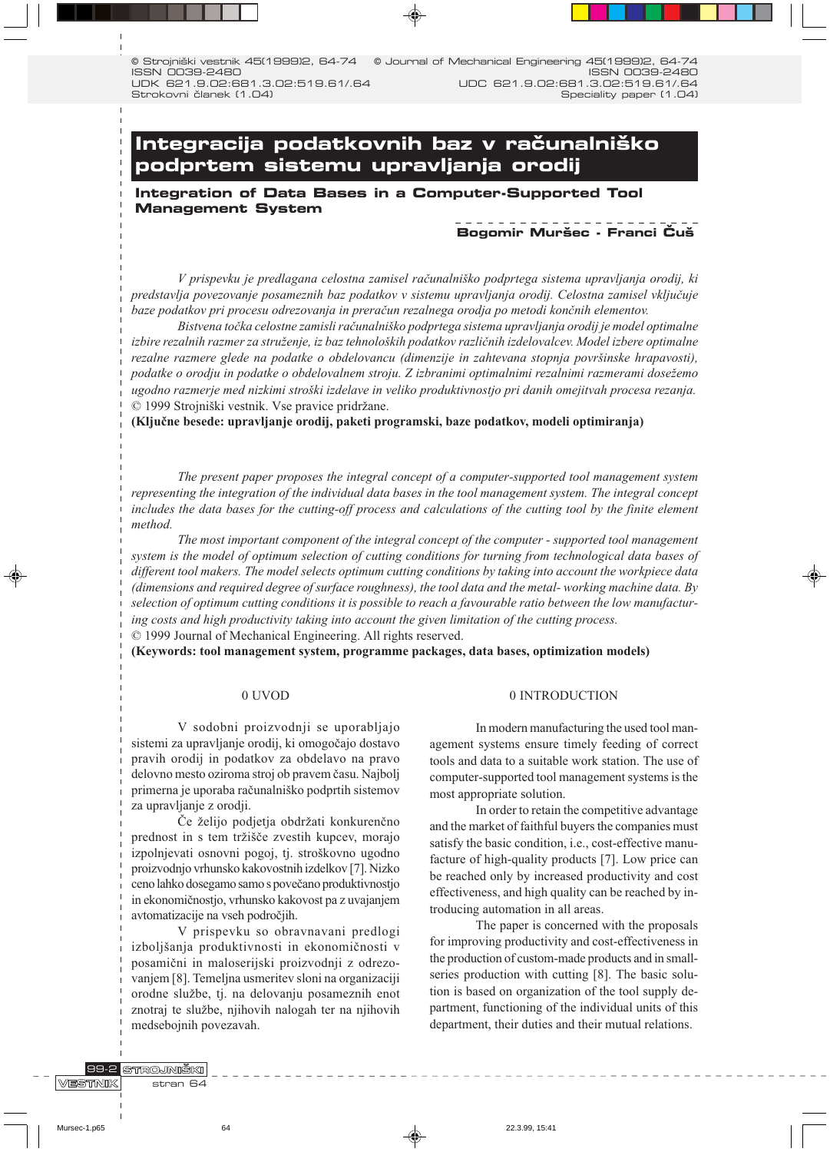0 Strojniški vestnik 45(1999)2, 64-74 ISSN 0039-2480 UDK 621.9.02:681.3.02:519.61/.64 Strokovni članek (1.04) © Journal of Mechanical Engineering 45(1999)2, 64-74 ISSN 0039-2480 UDC 621.9.02:681.3.02:519.61/.64 Speciality paper (1.04)

# Integracija podatkovnih baz v računalniško **podprtem sistemu upravljanja orodij**

**Integration of Data Bases in a Computer-Supported Tool Management System**

# **Bogomir Muršec - Franci Čuš**

V prispevku je predlagana celostna zamisel računalniško podprtega sistema upravljanja orodij, ki predstavlja povezovanje posameznih baz podatkov v sistemu upravljanja orodij. Celostna zamisel vključuje baze podatkov pri procesu odrezovanja in preračun rezalnega orodja po metodi končnih elementov.

Bistvena točka celostne zamisli računalniško podprtega sistema upravljanja orodij je model optimalne izbire rezalnih razmer za struženje, iz baz tehnoloških podatkov različnih izdelovalcev. Model izbere optimalne rezalne razmere glede na podatke o obdelovancu (dimenzije in zahtevana stopnja površinske hrapavosti), podatke o orodju in podatke o obdelovalnem stroju. Z izbranimi optimalnimi rezalnimi razmerami dosežemo ugodno razmerje med nizkimi stroški izdelave in veliko produktivnostjo pri danih omejitvah procesa rezanja. © 1999 Strojniški vestnik. Vse pravice pridržane.

(Ključne besede: upravljanje orodij, paketi programski, baze podatkov, modeli optimiranja)

The present paper proposes the integral concept of a computer-supported tool management system representing the integration of the individual data bases in the tool management system. The integral concept includes the data bases for the cutting-off process and calculations of the cutting tool by the finite element *method* 

The most important component of the integral concept of the computer - supported tool management system is the model of optimum selection of cutting conditions for turning from technological data bases of different tool makers. The model selects optimum cutting conditions by taking into account the workpiece data (dimensions and required degree of surface roughness), the tool data and the metal- working machine data. By selection of optimum cutting conditions it is possible to reach a favourable ratio between the low manufacturing costs and high productivity taking into account the given limitation of the cutting process.

© 1999 Journal of Mechanical Engineering. All rights reserved.

(Keywords: tool management system, programme packages, data bases, optimization models)

#### 0 UVOD

V sodobni proizvodnji se uporabljajo sistemi za upravljanje orodij, ki omogočajo dostavo pravih orodij in podatkov za obdelavo na pravo delovno mesto oziroma stroj ob pravem času. Najbolj primerna je uporaba računalniško podprtih sistemov za upravljanje z orodji.

Če želijo podjetja obdržati konkurenčno prednost in s tem tržišče zvestih kupcev, morajo izpolnjevati osnovni pogoj, tj. stroškovno ugodno proizvodnjo vrhunsko kakovostnih izdelkov [7]. Nizko ceno lahko dosegamo samo s povečano produktivnostjo in ekonomičnostjo, vrhunsko kakovost pa z uvajanjem avtomatizacije na vseh področjih.

V prispevku so obravnavani predlogi izboljšanja produktivnosti in ekonomičnosti v posamični in maloserijski proizvodnji z odrezovanjem [8]. Temeljna usmeritev sloni na organizaciji orodne službe, tj. na delovanju posameznih enot znotraj te službe, njihovih nalogah ter na njihovih medsebojnih povezavah.

### 0 INTRODUCTION

In modern manufacturing the used tool management systems ensure timely feeding of correct tools and data to a suitable work station. The use of computer-supported tool management systems is the most appropriate solution.

In order to retain the competitive advantage and the market of faithful buyers the companies must satisfy the basic condition, i.e., cost-effective manufacture of high-quality products [7]. Low price can be reached only by increased productivity and cost effectiveness, and high quality can be reached by introducing automation in all areas.

The paper is concerned with the proposals for improving productivity and cost-effectiveness in the production of custom-made products and in smallseries production with cutting [8]. The basic solution is based on organization of the tool supply department, functioning of the individual units of this department, their duties and their mutual relations.

STROJNIŠKI 99-2 VESTNIK stran 64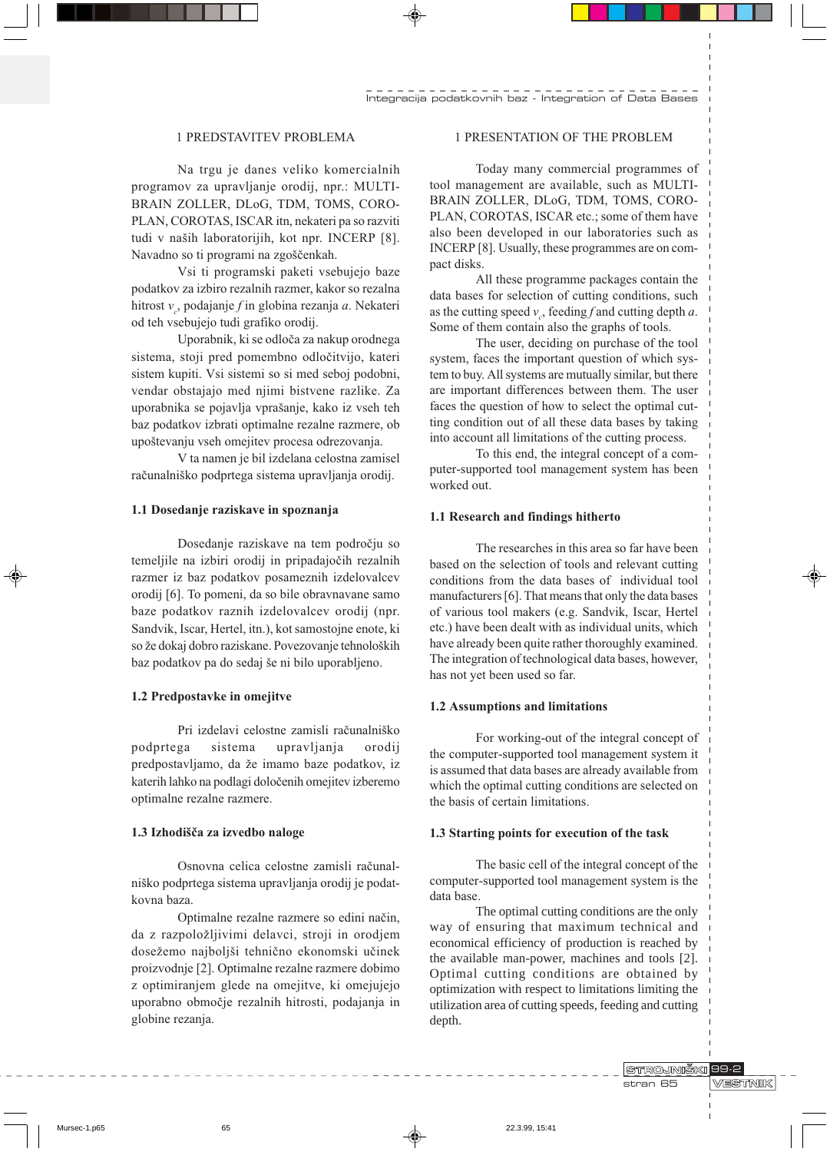# 1 PREDSTAVITEV PROBLEMA

Na trgu je danes veliko komercialnih programov za upravljanje orodij, npr.: MULTI-BRAIN ZOLLER, DLoG, TDM, TOMS, CORO-PLAN, COROTAS, ISCAR itn, nekateri pa so razviti tudi v naših laboratorijih, kot npr. INCERP [8]. Navadno so ti programi na zgoščenkah.

Vsi ti programski paketi vsebujejo baze podatkov za izbiro rezalnih razmer, kakor so rezalna hitrost  $v_c$ , podajanje  $f$  in globina rezanja  $a$ . Nekateri od teh vsebujejo tudi grafiko orodij.

Uporabnik, ki se odloča za nakup orodnega sistema, stoji pred pomembno odločitvijo, kateri sistem kupiti. Vsi sistemi so si med seboj podobni, vendar obstajajo med njimi bistvene razlike. Za uporabnika se pojavlja vprašanje, kako iz vseh teh baz podatkov izbrati optimalne rezalne razmere, ob upoštevanju vseh omejitev procesa odrezovanja.

V ta namen je bil izdelana celostna zamisel računalniško podprtega sistema upravljanja orodij.

#### 1.1 Dosedanje raziskave in spoznanja

Dosedanje raziskave na tem področju so temeljile na izbiri orodij in pripadajočih rezalnih razmer iz baz podatkov posameznih izdelovalcev orodij [6]. To pomeni, da so bile obravnavane samo baze podatkov raznih izdelovalcev orodij (npr. Sandvik, Iscar, Hertel, itn.), kot samostojne enote, ki so že dokaj dobro raziskane. Povezovanje tehnoloških baz podatkov pa do sedaj še ni bilo uporabljeno.

### 1.2 Predpostavke in omejitve

Pri izdelavi celostne zamisli računalniško podprtega sistema upravljanja a orodij predpostavljamo, da že imamo baze podatkov, iz katerih lahko na podlagi določenih omejitev izberemo optimalne rezalne razmere.

#### 1.3 Izhodišča za izvedbo naloge

Osnovna celica celostne zamisli računalniško podprtega sistema upravljanja orodij je podatkovna baza.

Optimalne rezalne razmere so edini način, da z razpoložljivimi delavci, stroji in orodjem dosežemo najboljši tehnično ekonomski učinek proizvodnje [2]. Optimalne rezalne razmere dobimo z optimiranjem glede na omejitve, ki omejujejo uporabno območje rezalnih hitrosti, podajanja in globine rezanja.

# 1 PRESENTATION OF THE PROBLEM

Today many commercial programmes of tool management are available, such as MULTI-BRAIN ZOLLER, DLoG, TDM, TOMS, CORO-PLAN, COROTAS, ISCAR etc.; some of them have also been developed in our laboratories such as INCERP [8]. Usually, these programmes are on compact disks.

All these programme packages contain the data bases for selection of cutting conditions, such as the cutting speed  $v_c$ , feeding f and cutting depth a. Some of them contain also the graphs of tools.

The user, deciding on purchase of the tool system, faces the important question of which system to buy. All systems are mutually similar, but there are important differences between them. The user faces the question of how to select the optimal cutting condition out of all these data bases by taking into account all limitations of the cutting process.

To this end, the integral concept of a computer-supported tool management system has been worked out.

#### 1.1 Research and findings hitherto

The researches in this area so far have been based on the selection of tools and relevant cutting conditions from the data bases of individual tool manufacturers [6]. That means that only the data bases of various tool makers (e.g. Sandvik, Iscar, Hertel etc.) have been dealt with as individual units, which have already been quite rather thoroughly examined. The integration of technological data bases, however, has not yet been used so far.

#### 1.2 Assumptions and limitations

For working-out of the integral concept of the computer-supported tool management system it is assumed that data bases are already available from which the optimal cutting conditions are selected on the basis of certain limitations.

#### 1.3 Starting points for execution of the task

The basic cell of the integral concept of the computer-supported tool management system is the data base.

The optimal cutting conditions are the only way of ensuring that maximum technical and economical efficiency of production is reached by the available man-power, machines and tools [2]. Optimal cutting conditions are obtained by optimization with respect to limitations limiting the utilization area of cutting speeds, feeding and cutting depth.

> STROJNIŠKI 99-2 stran 65

VESTNIK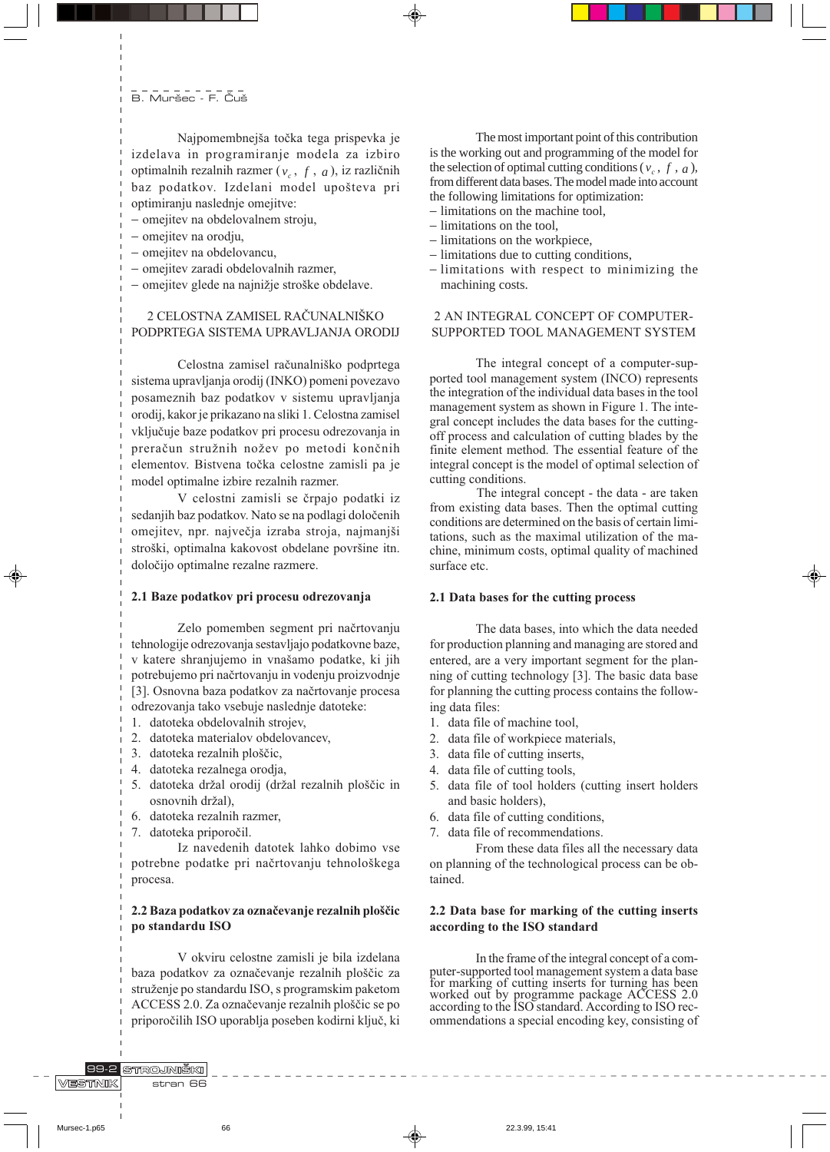# **B. Muršec - F. Čuš**

Naipomembnejša točka tega prispevka je izdelava in programiranje modela za izbiro optimalnih rezalnih razmer ( $v_c$ , f, a), iz različnih baz podatkov. Izdelani model upošteva pri optimiranju naslednje omejitve:

- omejitev na obdelovalnem stroju,

- omejitev na orodju,
- omejitev na obdelovancu,
- omejitev zaradi obdelovalnih razmer,
- omejitev glede na najnižie stroške obdelave.

# 2 CELOSTNA ZAMISEL RAČUNALNIŠKO PODPRTEGA SISTEMA UPRAVLJANJA ORODIJ

Celostna zamisel računalniško podprtega sistema upravljanja orodij (INKO) pomeni povezavo posameznih baz podatkov v sistemu upravljanja orodij, kakor je prikazano na sliki 1. Celostna zamisel vključuje baze podatkov pri procesu odrezovanja in preračun stružnih nožev po metodi končnih elementov. Bistvena točka celostne zamisli pa je model optimalne izbire rezalnih razmer.

V celostni zamisli se črpajo podatki iz sedanjih baz podatkov. Nato se na podlagi določenih omejitev, npr. največja izraba stroja, najmanjši stroški, optimalna kakovost obdelane površine itn. določijo optimalne rezalne razmere.

#### 2.1 Baze podatkov pri procesu odrezovanja

Zelo pomemben segment pri načrtovanju tehnologije odrezovanja sestavljajo podatkovne baze, v katere shranjujemo in vnašamo podatke, ki jih potrebujemo pri načrtovanju in vodenju proizvodnje [3]. Osnovna baza podatkov za načrtovanje procesa odrezovanja tako vsebuje naslednje datoteke:

- 1. datoteka obdelovalnih strojev.
- 2. datoteka materialov obdelovancev,
- 3. datoteka rezalnih ploščic,
- 4. datoteka rezalnega orodja,
- 5. datoteka držal orodij (držal rezalnih ploščic in osnovnih držal),
- 6. datoteka rezalnih razmer,
- 7. datoteka priporočil.

Iz navedenih datotek lahko dobimo vse potrebne podatke pri načrtovanju tehnološkega procesa.

# 2.2 Baza podatkov za označevanje rezalnih ploščic po standardu ISO

V okviru celostne zamisli je bila izdelana baza podatkov za označevanje rezalnih ploščic za struženje po standardu ISO, s programskim paketom ACCESS 2.0. Za označevanje rezalnih ploščic se po priporočilih ISO uporablja poseben kodirni ključ, ki

The most important point of this contribution is the working out and programming of the model for the selection of optimal cutting conditions ( $v_c$ , f, a), from different data bases. The model made into account the following limitations for optimization: - limitations on the machine tool,

- $-$  limitations on the tool,
- limitations on the workpiece,
- limitations due to cutting conditions,
- limitations with respect to minimizing the machining costs.

# 2 AN INTEGRAL CONCEPT OF COMPUTER-SUPPORTED TOOL MANAGEMENT SYSTEM

The integral concept of a computer-supported tool management system (INCO) represents the integration of the individual data bases in the tool management system as shown in Figure 1. The integral concept includes the data bases for the cuttingoff process and calculation of cutting blades by the finite element method. The essential feature of the integral concept is the model of optimal selection of cutting conditions.

The integral concept - the data - are taken from existing data bases. Then the optimal cutting conditions are determined on the basis of certain limitations, such as the maximal utilization of the machine, minimum costs, optimal quality of machined surface etc.

#### 2.1 Data bases for the cutting process

The data bases, into which the data needed for production planning and managing are stored and entered, are a very important segment for the planning of cutting technology [3]. The basic data base for planning the cutting process contains the following data files:

- 1. data file of machine tool,
- 2. data file of workpiece materials,
- 3. data file of cutting inserts,
- 4. data file of cutting tools,
- 5. data file of tool holders (cutting insert holders and basic holders),
- 6. data file of cutting conditions,
- 7. data file of recommendations.

From these data files all the necessary data on planning of the technological process can be obtained.

### 2.2 Data base for marking of the cutting inserts according to the ISO standard

In the frame of the integral concept of a computer-supported tool management system a data base puter-supported tool management system a trade base<br>for marking of cutting inserts for turning has been<br>worked out by programme package ACCESS 2.0<br>according to the ISO standard. According to ISO recommendations a special encoding key, consisting of

99-2 STROJNIŠKI VESTNIK stran 66

66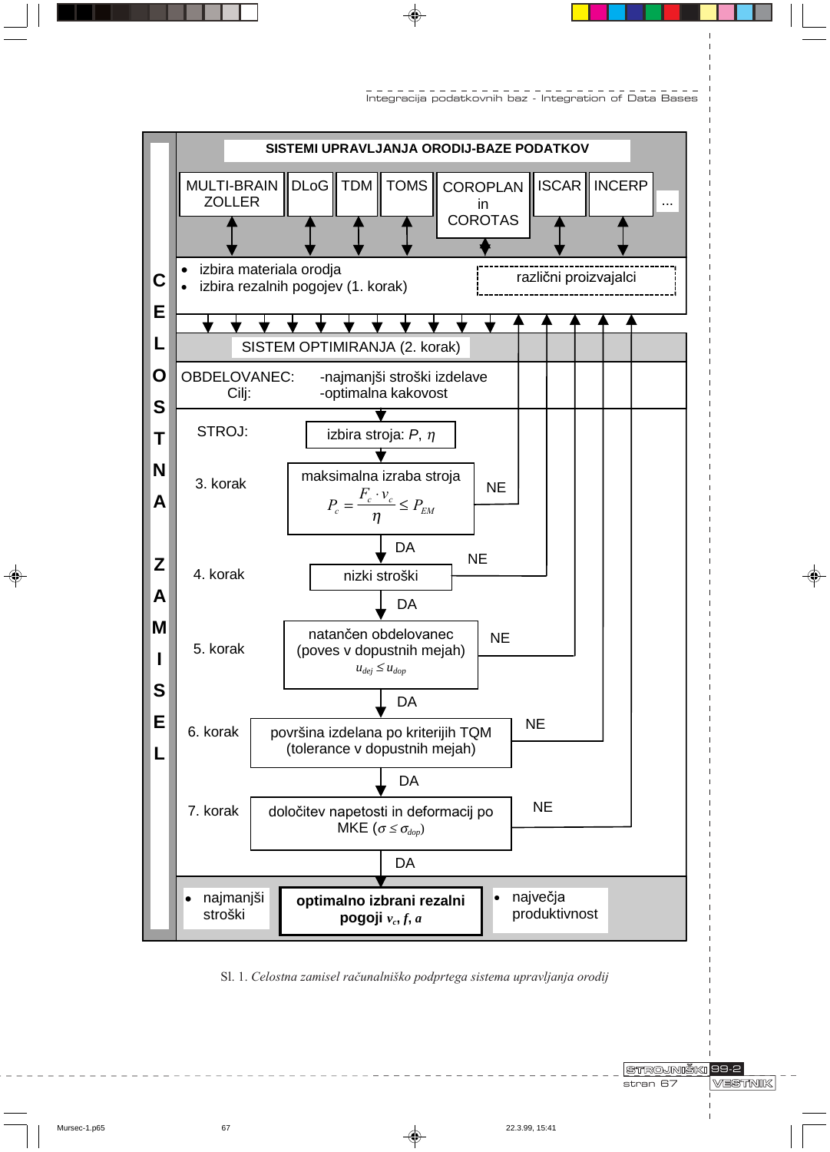

Integracija podatkovnih baz - Integration of Data Bases

Sl. 1. Celostna zamisel računalniško podprtega sistema upravljanja orodij

**STROJNIŠKI 99-2** stran 67

**VESTNIK** 

 $\bigcirc$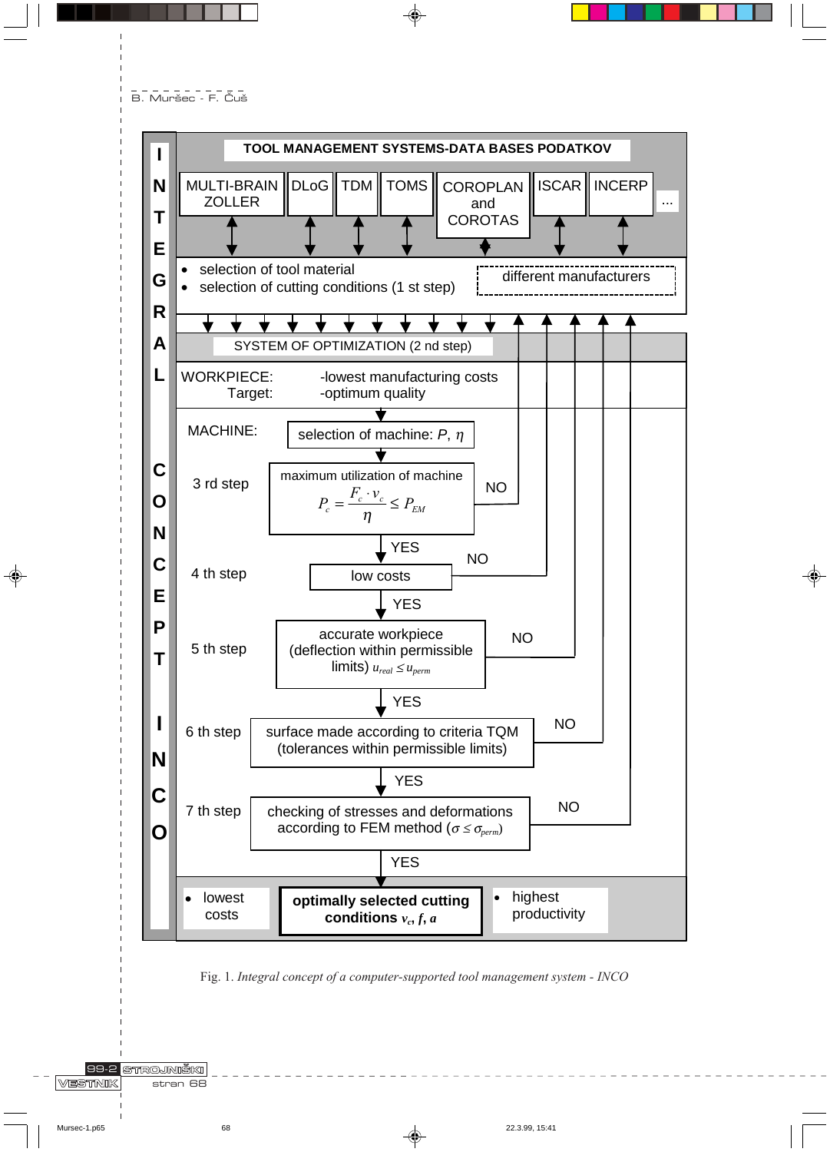---------<br>B. Muršec - F. Čuš



Fig. 1. Integral concept of a computer-supported tool management system - INCO

**99-2 STROJNIŠKI** VESTNIK stran 68

 $\bigcirc$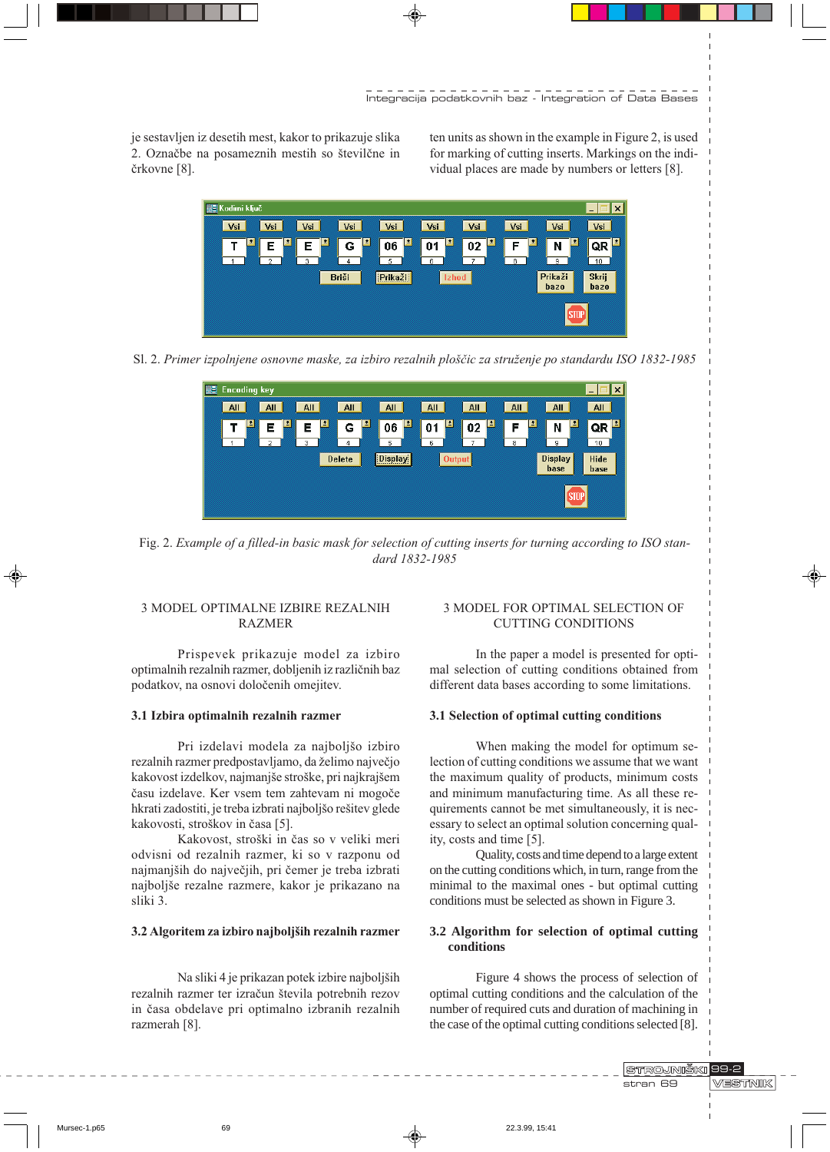Integracija podatkovnih baz - Integration of Data Bases

je sestavljen iz desetih mest, kakor to prikazuje slika 2. Označbe na posameznih mestih so številčne in črkovne [8].

ten units as shown in the example in Figure 2, is used for marking of cutting inserts. Markings on the individual places are made by numbers or letters [8].



Sl. 2. Primer izpolnjene osnovne maske, za izbiro rezalnih ploščic za struženje po standardu ISO 1832-1985



Fig. 2. Example of a filled-in basic mask for selection of cutting inserts for turning according to ISO standard 1832-1985

# **3 MODEL OPTIMALNE IZBIRE REZALNIH RAZMER**

Prispevek prikazuje model za izbiro optimalnih rezalnih razmer, dobljenih iz različnih baz podatkov, na osnovi določenih omejitev.

# 3.1 Izbira optimalnih rezalnih razmer

Pri izdelavi modela za najboljšo izbiro rezalnih razmer predpostavljamo, da želimo največjo kakovost izdelkov, najmanjše stroške, pri najkrajšem času izdelave. Ker vsem tem zahtevam ni mogoče hkrati zadostiti, je treba izbrati najboljšo rešitev glede kakovosti, stroškov in časa [5].

Kakovost, stroški in čas so v veliki meri odvisni od rezalnih razmer, ki so v razponu od najmanjših do največjih, pri čemer je treba izbrati najboljše rezalne razmere, kakor je prikazano na sliki 3.

### 3.2 Algoritem za izbiro najboljših rezalnih razmer

Na sliki 4 je prikazan potek izbire najboljših rezalnih razmer ter izračun števila potrebnih rezov in časa obdelave pri optimalno izbranih rezalnih razmerah [8].

# 3 MODEL FOR OPTIMAL SELECTION OF **CUTTING CONDITIONS**

In the paper a model is presented for optimal selection of cutting conditions obtained from different data bases according to some limitations.

#### 3.1 Selection of optimal cutting conditions

When making the model for optimum selection of cutting conditions we assume that we want the maximum quality of products, minimum costs and minimum manufacturing time. As all these requirements cannot be met simultaneously, it is necessary to select an optimal solution concerning quality, costs and time [5].

Quality, costs and time depend to a large extent on the cutting conditions which, in turn, range from the minimal to the maximal ones - but optimal cutting conditions must be selected as shown in Figure 3.

### 3.2 Algorithm for selection of optimal cutting conditions

Figure 4 shows the process of selection of optimal cutting conditions and the calculation of the number of required cuts and duration of machining in the case of the optimal cutting conditions selected [8].

> STROJNIŠKI 99-2 stran 69

**VESTNIK** 

Mursec-1.p65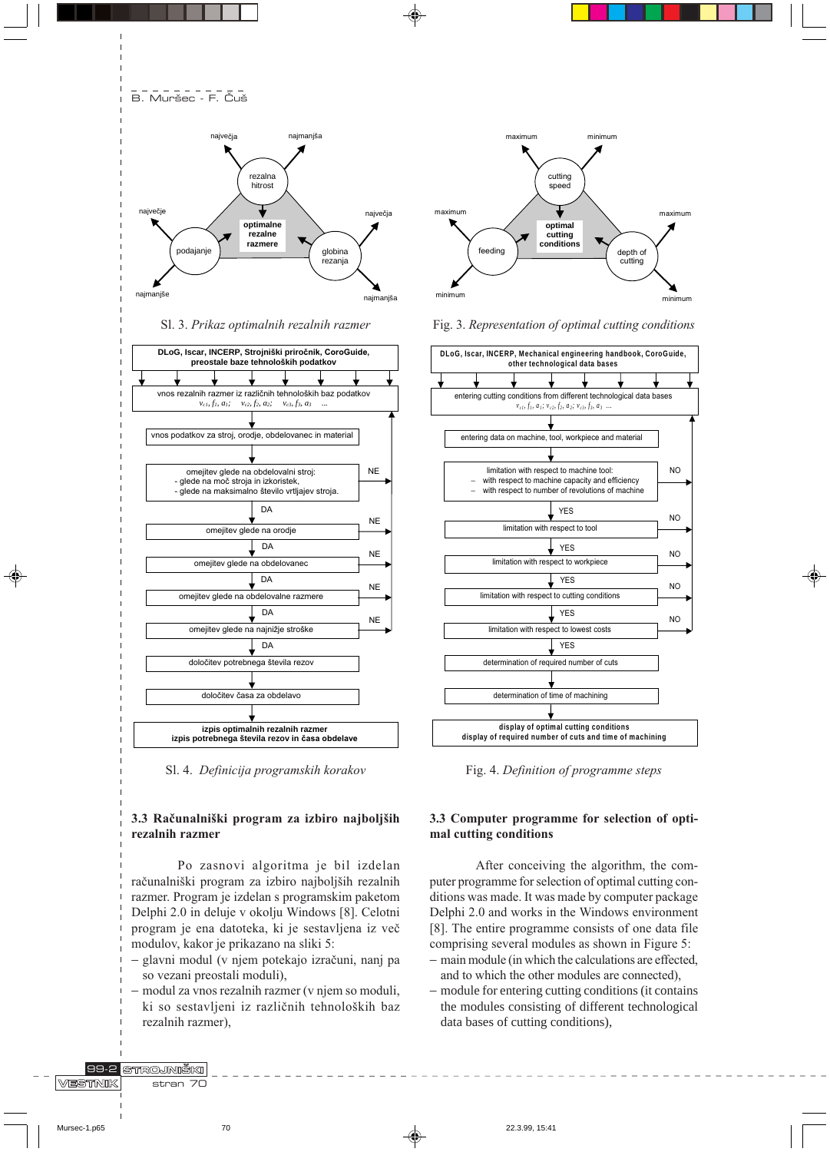**B. Muršec - F. Čuš** 



Sl. 3. Prikaz optimalnih rezalnih razmer



Sl. 4. Definicija programskih korakov

### 3.3 Računalniški program za izbiro najboljših rezalnih razmer

Po zasnovi algoritma je bil izdelan računalniški program za izbiro najboljših rezalnih razmer. Program je izdelan s programskim paketom Delphi 2.0 in deluje v okolju Windows [8]. Celotni program je ena datoteka, ki je sestavljena iz več modulov, kakor je prikazano na sliki 5:

- glavni modul (v njem potekajo izračuni, nanj pa so vezani preostali moduli),
- modul za vnos rezalnih razmer (v njem so moduli, ki so sestavljeni iz različnih tehnoloških baz rezalnih razmer),



Fig. 3. Representation of optimal cutting conditions



Fig. 4. Definition of programme steps

# 3.3 Computer programme for selection of optimal cutting conditions

After conceiving the algorithm, the computer programme for selection of optimal cutting conditions was made. It was made by computer package Delphi 2.0 and works in the Windows environment [8]. The entire programme consists of one data file comprising several modules as shown in Figure 5:

- main module (in which the calculations are effected, and to which the other modules are connected),
- module for entering cutting conditions (it contains the modules consisting of different technological data bases of cutting conditions),

89-2 STROJNIŠKI VESTNIK stran 7C

 $70$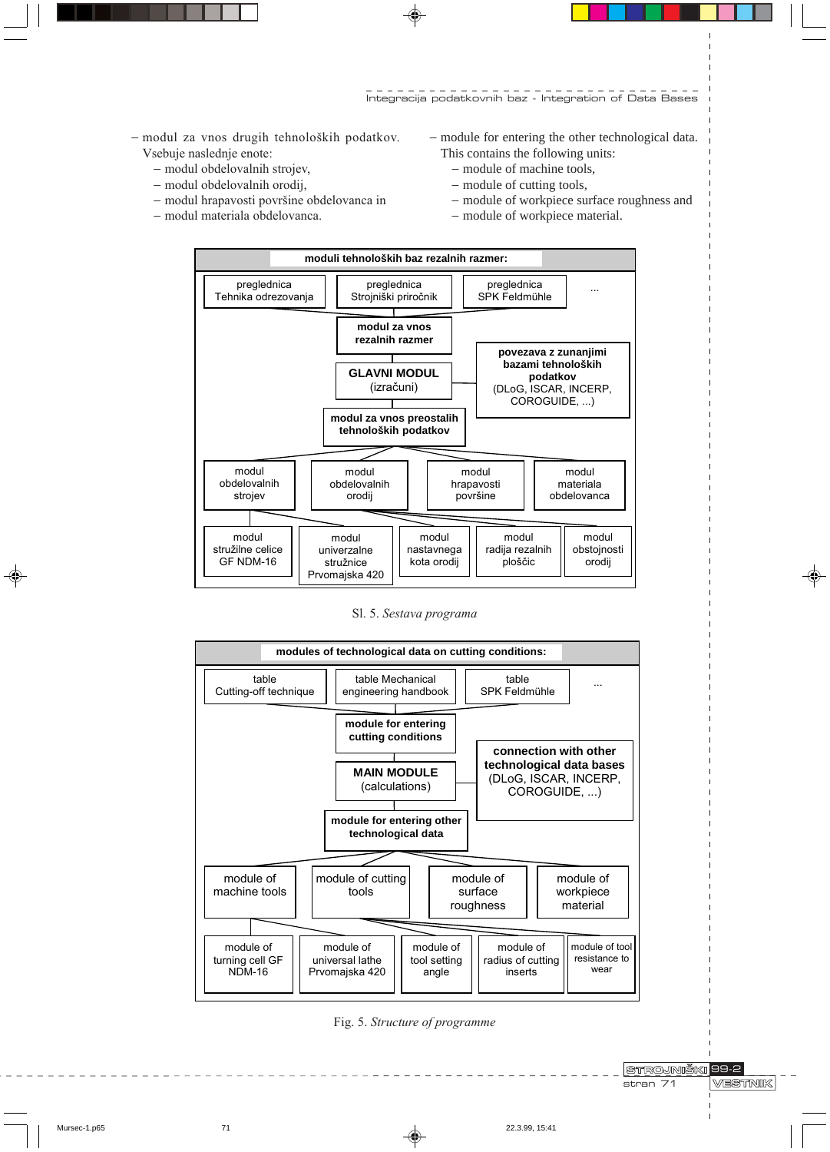Integracija podatkovnih baz - Integration of Data Bases

- modul za vnos drugih tehnoloških podatkov. Vsebuje naslednje enote:

- modul obdelovalnih strojev,
- modul obdelovalnih orodij,
- modul hrapavosti površine obdelovanca in
- modul materiala obdelovanca.
- − module for entering the other technological data. This contains the following units:
	- − module of machine tools,
	- − module of cutting tools,
	- − module of workpiece surface roughness and
	- − module of workpiece material.



Sl. 5. Sestava programa



Fig. 5. Structure of programme

**VESTNIK** 

 $\bigoplus$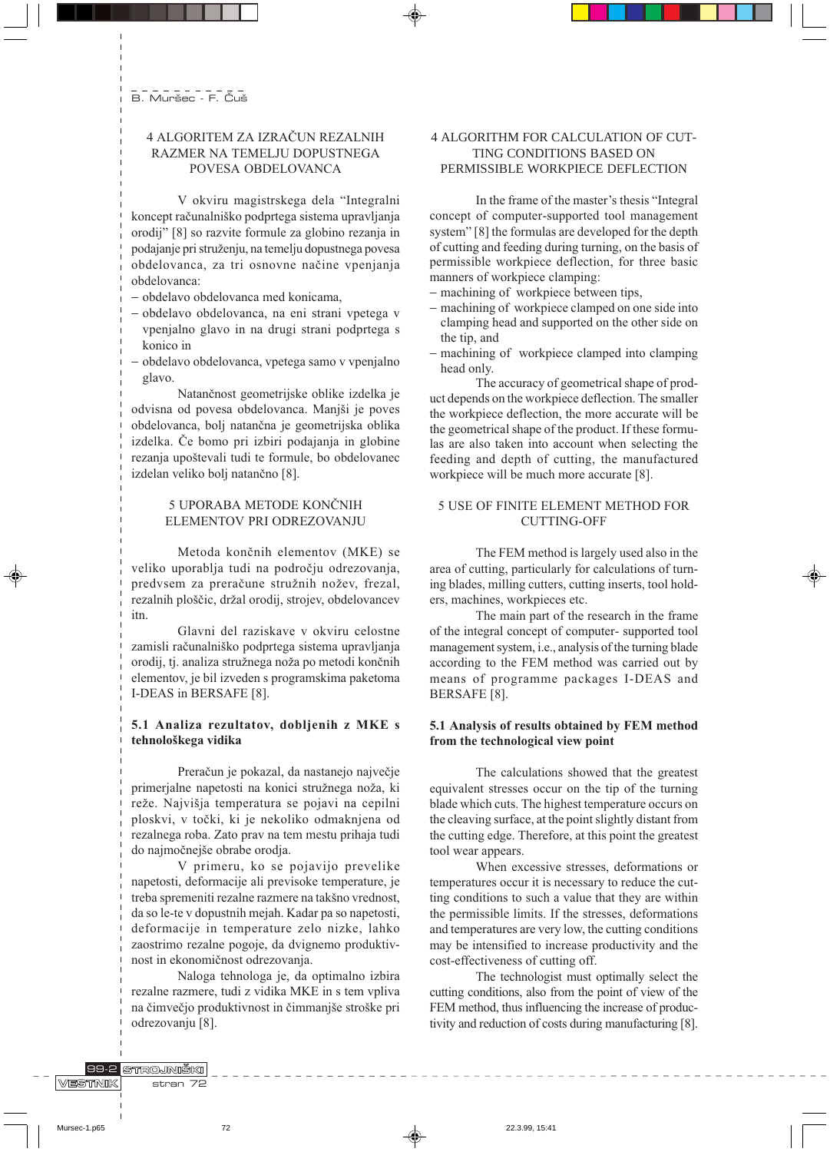# 4 ALGORITEM ZA IZRAČUN REZALNIH RAZMER NA TEMELJU DOPUSTNEGA POVESA OBDELOVANCA

V okviru magistrskega dela "Integralni koncept računalniško podprtega sistema upravljanja orodij" [8] so razvite formule za globino rezanja in podajanje pri struženju, na temelju dopustnega povesa obdelovanca, za tri osnovne načine vpenjanja obdelovanca:

- obdelavo obdelovanca med konicama,
- obdelavo obdelovanca, na eni strani vpetega v vpenjalno glavo in na drugi strani podprtega s
- konico in
- obdelavo obdelovanca, vpetega samo v vpenjalno glavo.

Natančnost geometrijske oblike izdelka je odvisna od povesa obdelovanca. Manjši je poves obdelovanca, bolj natančna je geometrijska oblika izdelka. Če bomo pri izbiri podajanja in globine rezanja upoštevali tudi te formule, bo obdelovanec izdelan veliko bolj natančno [8].

# 5 UPORABA METODE KONČNIH ELEMENTOV PRI ODREZOVANJU

Metoda končnih elementov (MKE) se veliko uporablja tudi na področju odrezovanja, predvsem za preračune stružnih nožev, frezal, rezalnih ploščic, držal orodij, strojev, obdelovancev itn

Glavni del raziskave v okviru celostne zamisli računalniško podprtega sistema upravljanja orodij, tj. analiza stružnega noža po metodi končnih elementov, je bil izveden s programskima paketoma I-DEAS in BERSAFE [8].

### 5.1 Analiza rezultatov, dobljenih z MKE s tehnološkega vidika

Preračun je pokazal, da nastanejo največje primerjalne napetosti na konici stružnega noža, ki reže. Najvišja temperatura se pojavi na cepilni ploskvi, v točki, ki je nekoliko odmaknjena od rezalnega roba. Zato prav na tem mestu prihaja tudi do najmočnejše obrabe orodja.

V primeru, ko se pojavijo prevelike napetosti, deformacije ali previsoke temperature, je treba spremeniti rezalne razmere na takšno vrednost, da so le-te v dopustnih mejah. Kadar pa so napetosti, deformacije in temperature zelo nizke, lahko zaostrimo rezalne pogoje, da dvignemo produktivnost in ekonomičnost odrezovanja.

Naloga tehnologa je, da optimalno izbira rezalne razmere, tudi z vidika MKE in s tem vpliva na čimvečjo produktivnost in čimmanjše stroške pri odrezovanju [8].

# 4 ALGORITHM FOR CALCULATION OF CUT-TING CONDITIONS BASED ON PERMISSIBLE WORKPIECE DEFLECTION

In the frame of the master's thesis "Integral" concept of computer-supported tool management system" [8] the formulas are developed for the depth of cutting and feeding during turning, on the basis of permissible workpiece deflection, for three basic manners of workpiece clamping:

- machining of workpiece between tips,
- machining of workpiece clamped on one side into clamping head and supported on the other side on the tip, and
- machining of workpiece clamped into clamping head only.

The accuracy of geometrical shape of product depends on the workpiece deflection. The smaller the workpiece deflection, the more accurate will be the geometrical shape of the product. If these formulas are also taken into account when selecting the feeding and depth of cutting, the manufactured workpiece will be much more accurate [8].

# 5 USE OF FINITE ELEMENT METHOD FOR **CUTTING-OFF**

The FEM method is largely used also in the area of cutting, particularly for calculations of turning blades, milling cutters, cutting inserts, tool holders, machines, workpieces etc.

The main part of the research in the frame of the integral concept of computer-supported tool management system, i.e., analysis of the turning blade according to the FEM method was carried out by means of programme packages I-DEAS and BERSAFE<sup>[8]</sup>.

# 5.1 Analysis of results obtained by FEM method from the technological view point

The calculations showed that the greatest equivalent stresses occur on the tip of the turning blade which cuts. The highest temperature occurs on the cleaving surface, at the point slightly distant from the cutting edge. Therefore, at this point the greatest tool wear appears.

When excessive stresses, deformations or temperatures occur it is necessary to reduce the cutting conditions to such a value that they are within the permissible limits. If the stresses, deformations and temperatures are very low, the cutting conditions may be intensified to increase productivity and the cost-effectiveness of cutting off.

The technologist must optimally select the cutting conditions, also from the point of view of the FEM method, thus influencing the increase of productivity and reduction of costs during manufacturing [8].

89-2 STROJNIŠKI VESTNIK stran 72

 $72$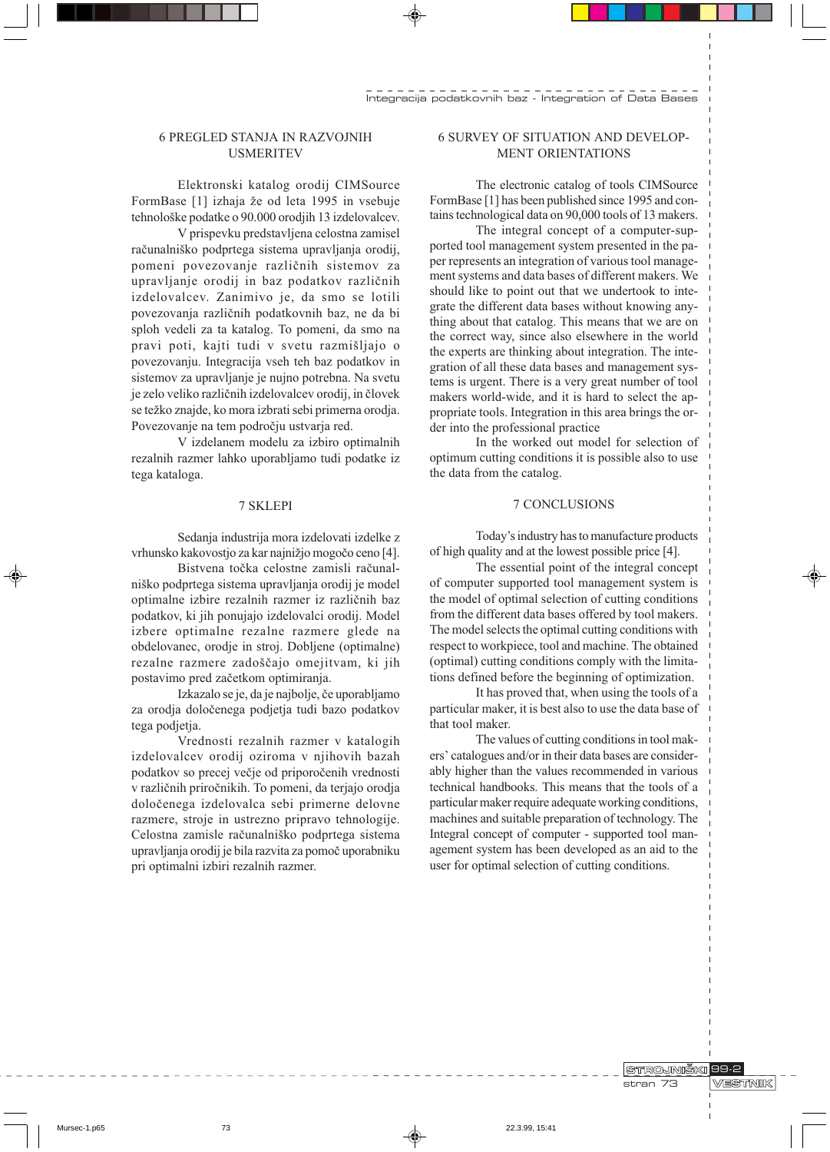# **6 PREGLED STANJA IN RAZVOJNIH USMERITEV**

Elektronski katalog orodij CIMSource FormBase [1] izhaja že od leta 1995 in vsebuje tehnološke podatke o 90.000 orodjih 13 izdelovalcev.

V prispevku predstavljena celostna zamisel računalniško podprtega sistema upravljanja orodij, pomeni povezovanje različnih sistemov za upravljanje orodij in baz podatkov različnih izdelovalcev. Zanimivo je, da smo se lotili povezovanja različnih podatkovnih baz, ne da bi sploh vedeli za ta katalog. To pomeni, da smo na pravi poti, kajti tudi v svetu razmišljajo o povezovanju. Integracija vseh teh baz podatkov in sistemov za upravljanje je nujno potrebna. Na svetu je zelo veliko različnih izdelovalcev orodij, in človek se težko znajde, ko mora izbrati sebi primerna orodja. Povezovanje na tem področju ustvarja red.

V izdelanem modelu za izbiro optimalnih rezalnih razmer lahko uporabljamo tudi podatke iz tega kataloga.

#### 7 SKLEPI

Sedanja industrija mora izdelovati izdelke z vrhunsko kakovostio za kar najnižjo mogočo ceno [4].

Bistvena točka celostne zamisli računalniško podprtega sistema upravljanja orodij je model optimalne izbire rezalnih razmer iz različnih baz podatkov, ki jih ponujajo izdelovalci orodij. Model izbere optimalne rezalne razmere glede na obdelovanec, orodje in stroj. Dobljene (optimalne) rezalne razmere zadoščajo omejitvam, ki jih postavimo pred začetkom optimiranja.

Izkazalo se je, da je najbolje, če uporabljamo za orodja določenega podjetja tudi bazo podatkov tega podjetja.

Vrednosti rezalnih razmer v katalogih izdelovalcev orodij oziroma v njihovih bazah podatkov so precej večje od priporočenih vrednosti v različnih priročnikih. To pomeni, da terjajo orodja določenega izdelovalca sebi primerne delovne razmere, stroje in ustrezno pripravo tehnologije. Celostna zamisle računalniško podprtega sistema upravljanja orodij je bila razvita za pomoč uporabniku pri optimalni izbiri rezalnih razmer.

### **6 SURVEY OF SITUATION AND DEVELOP-MENT ORIENTATIONS**

The electronic catalog of tools CIMSource FormBase [1] has been published since 1995 and contains technological data on 90,000 tools of 13 makers.

The integral concept of a computer-supported tool management system presented in the paper represents an integration of various tool management systems and data bases of different makers. We should like to point out that we undertook to integrate the different data bases without knowing anything about that catalog. This means that we are on the correct way, since also elsewhere in the world the experts are thinking about integration. The integration of all these data bases and management systems is urgent. There is a very great number of tool makers world-wide, and it is hard to select the appropriate tools. Integration in this area brings the order into the professional practice

In the worked out model for selection of optimum cutting conditions it is possible also to use the data from the catalog.

### 7 CONCLUSIONS

Today's industry has to manufacture products of high quality and at the lowest possible price [4].

The essential point of the integral concept of computer supported tool management system is the model of optimal selection of cutting conditions from the different data bases offered by tool makers. The model selects the optimal cutting conditions with respect to workpiece, tool and machine. The obtained (optimal) cutting conditions comply with the limitations defined before the beginning of optimization.

It has proved that, when using the tools of a particular maker, it is best also to use the data base of that tool maker.

The values of cutting conditions in tool makers' catalogues and/or in their data bases are considerably higher than the values recommended in various technical handbooks. This means that the tools of a particular maker require adequate working conditions, machines and suitable preparation of technology. The Integral concept of computer - supported tool management system has been developed as an aid to the user for optimal selection of cutting conditions.

> STROJNIŠKI 99-2 stran 73